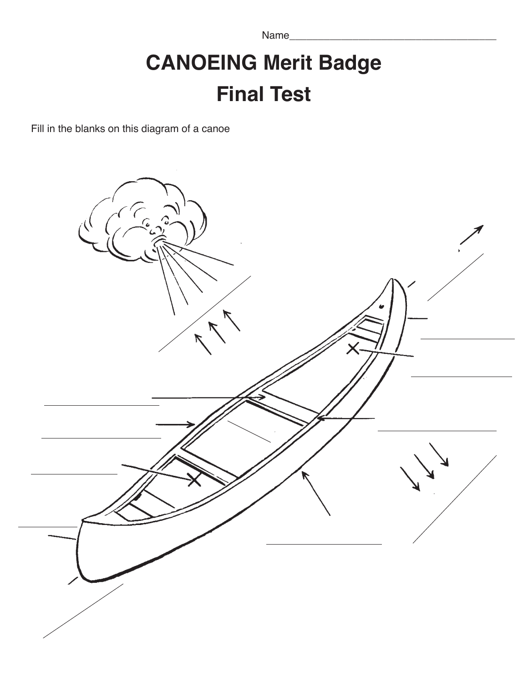Name\_\_\_\_\_\_\_\_\_\_\_\_\_\_\_\_\_\_\_\_\_\_\_\_\_\_\_\_\_\_\_\_\_\_\_\_

## **CANOEING Merit Badge Final Test**

Fill in the blanks on this diagram of a canoe

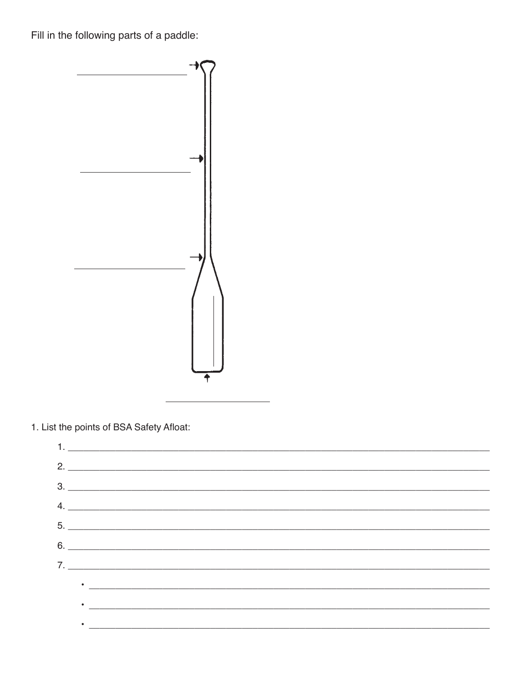Fill in the following parts of a paddle:



1. List the points of BSA Safety Afloat:

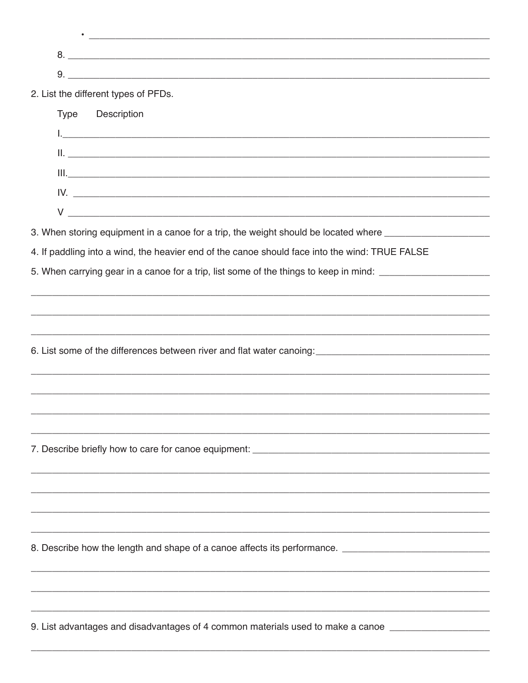| 2. List the different types of PFDs.                                                                                                                                                                                           |  |
|--------------------------------------------------------------------------------------------------------------------------------------------------------------------------------------------------------------------------------|--|
| Type Description                                                                                                                                                                                                               |  |
|                                                                                                                                                                                                                                |  |
|                                                                                                                                                                                                                                |  |
| III. <u> Il province all'International anno 1980 anno 1980. Il province all'International all'International dell'</u>                                                                                                          |  |
|                                                                                                                                                                                                                                |  |
|                                                                                                                                                                                                                                |  |
| 3. When storing equipment in a canoe for a trip, the weight should be located where ______________________                                                                                                                     |  |
| 4. If paddling into a wind, the heavier end of the canoe should face into the wind: TRUE FALSE                                                                                                                                 |  |
| 5. When carrying gear in a canoe for a trip, list some of the things to keep in mind: _______________________                                                                                                                  |  |
|                                                                                                                                                                                                                                |  |
|                                                                                                                                                                                                                                |  |
|                                                                                                                                                                                                                                |  |
|                                                                                                                                                                                                                                |  |
|                                                                                                                                                                                                                                |  |
| ,我们也不能在这里的,我们也不能在这里的人,我们也不能在这里的人,我们也不能在这里的人,我们也不能在这里的人,我们也不能在这里的人,我们也不能在这里的人,我们也不                                                                                                                                              |  |
|                                                                                                                                                                                                                                |  |
|                                                                                                                                                                                                                                |  |
|                                                                                                                                                                                                                                |  |
|                                                                                                                                                                                                                                |  |
|                                                                                                                                                                                                                                |  |
|                                                                                                                                                                                                                                |  |
|                                                                                                                                                                                                                                |  |
|                                                                                                                                                                                                                                |  |
|                                                                                                                                                                                                                                |  |
|                                                                                                                                                                                                                                |  |
|                                                                                                                                                                                                                                |  |
| 9. List advantages and disadvantages of 4 common materials used to make a canoe [100] [100] [100] [100] [100] [100] [100] [100] [100] [100] [100] [100] [100] [100] [100] [100] [100] [100] [100] [100] [100] [100] [100] [100 |  |
|                                                                                                                                                                                                                                |  |